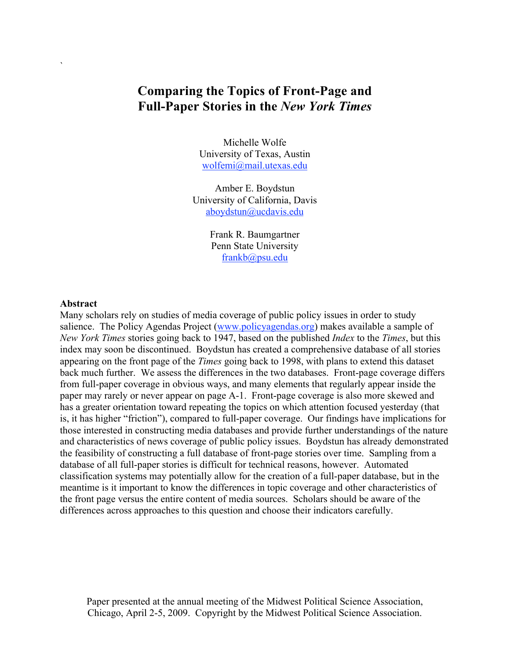# **Comparing the Topics of Front-Page and Full-Paper Stories in the** *New York Times*

Michelle Wolfe University of Texas, Austin wolfemi@mail.utexas.edu

Amber E. Boydstun University of California, Davis aboydstun@ucdavis.edu

> Frank R. Baumgartner Penn State University frankb@psu.edu

#### **Abstract**

`

Many scholars rely on studies of media coverage of public policy issues in order to study salience. The Policy Agendas Project (www.policyagendas.org) makes available a sample of *New York Times* stories going back to 1947, based on the published *Index* to the *Times*, but this index may soon be discontinued. Boydstun has created a comprehensive database of all stories appearing on the front page of the *Times* going back to 1998, with plans to extend this dataset back much further. We assess the differences in the two databases. Front-page coverage differs from full-paper coverage in obvious ways, and many elements that regularly appear inside the paper may rarely or never appear on page A-1. Front-page coverage is also more skewed and has a greater orientation toward repeating the topics on which attention focused yesterday (that is, it has higher "friction"), compared to full-paper coverage. Our findings have implications for those interested in constructing media databases and provide further understandings of the nature and characteristics of news coverage of public policy issues. Boydstun has already demonstrated the feasibility of constructing a full database of front-page stories over time. Sampling from a database of all full-paper stories is difficult for technical reasons, however. Automated classification systems may potentially allow for the creation of a full-paper database, but in the meantime is it important to know the differences in topic coverage and other characteristics of the front page versus the entire content of media sources. Scholars should be aware of the differences across approaches to this question and choose their indicators carefully.

Paper presented at the annual meeting of the Midwest Political Science Association, Chicago, April 2-5, 2009. Copyright by the Midwest Political Science Association.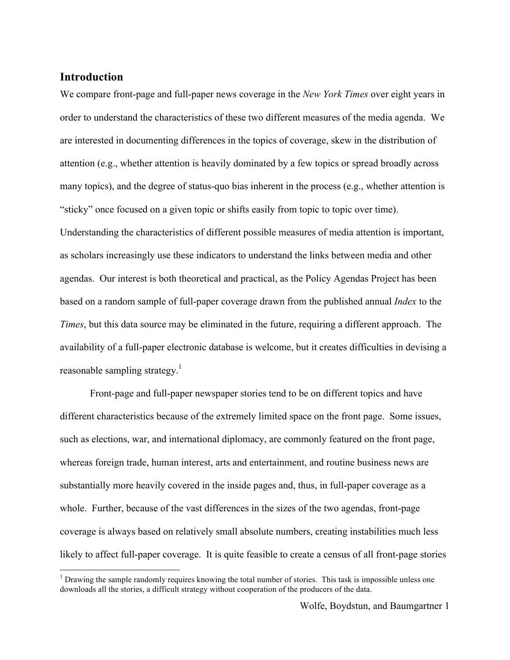# **Introduction**

We compare front-page and full-paper news coverage in the *New York Times* over eight years in order to understand the characteristics of these two different measures of the media agenda. We are interested in documenting differences in the topics of coverage, skew in the distribution of attention (e.g., whether attention is heavily dominated by a few topics or spread broadly across many topics), and the degree of status-quo bias inherent in the process (e.g., whether attention is "sticky" once focused on a given topic or shifts easily from topic to topic over time). Understanding the characteristics of different possible measures of media attention is important, as scholars increasingly use these indicators to understand the links between media and other agendas. Our interest is both theoretical and practical, as the Policy Agendas Project has been based on a random sample of full-paper coverage drawn from the published annual *Index* to the *Times*, but this data source may be eliminated in the future, requiring a different approach. The availability of a full-paper electronic database is welcome, but it creates difficulties in devising a reasonable sampling strategy.<sup>1</sup>

Front-page and full-paper newspaper stories tend to be on different topics and have different characteristics because of the extremely limited space on the front page. Some issues, such as elections, war, and international diplomacy, are commonly featured on the front page, whereas foreign trade, human interest, arts and entertainment, and routine business news are substantially more heavily covered in the inside pages and, thus, in full-paper coverage as a whole. Further, because of the vast differences in the sizes of the two agendas, front-page coverage is always based on relatively small absolute numbers, creating instabilities much less likely to affect full-paper coverage. It is quite feasible to create a census of all front-page stories

 $\frac{1}{1}$  $<sup>1</sup>$  Drawing the sample randomly requires knowing the total number of stories. This task is impossible unless one</sup> downloads all the stories, a difficult strategy without cooperation of the producers of the data.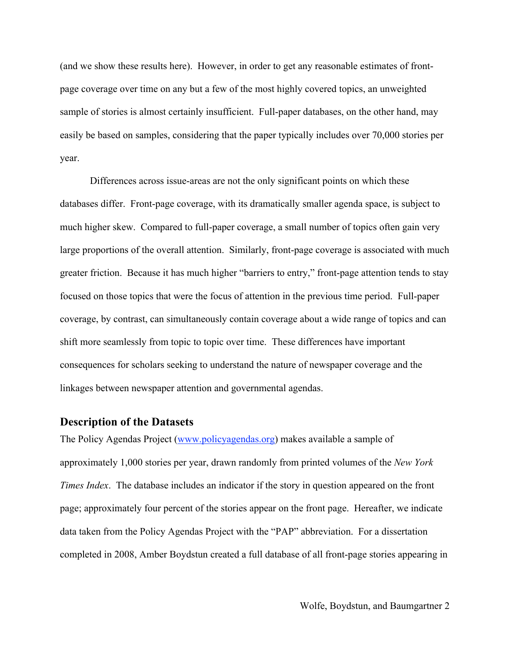(and we show these results here). However, in order to get any reasonable estimates of frontpage coverage over time on any but a few of the most highly covered topics, an unweighted sample of stories is almost certainly insufficient. Full-paper databases, on the other hand, may easily be based on samples, considering that the paper typically includes over 70,000 stories per year.

Differences across issue-areas are not the only significant points on which these databases differ. Front-page coverage, with its dramatically smaller agenda space, is subject to much higher skew. Compared to full-paper coverage, a small number of topics often gain very large proportions of the overall attention. Similarly, front-page coverage is associated with much greater friction. Because it has much higher "barriers to entry," front-page attention tends to stay focused on those topics that were the focus of attention in the previous time period. Full-paper coverage, by contrast, can simultaneously contain coverage about a wide range of topics and can shift more seamlessly from topic to topic over time. These differences have important consequences for scholars seeking to understand the nature of newspaper coverage and the linkages between newspaper attention and governmental agendas.

# **Description of the Datasets**

The Policy Agendas Project (www.policyagendas.org) makes available a sample of approximately 1,000 stories per year, drawn randomly from printed volumes of the *New York Times Index*. The database includes an indicator if the story in question appeared on the front page; approximately four percent of the stories appear on the front page. Hereafter, we indicate data taken from the Policy Agendas Project with the "PAP" abbreviation. For a dissertation completed in 2008, Amber Boydstun created a full database of all front-page stories appearing in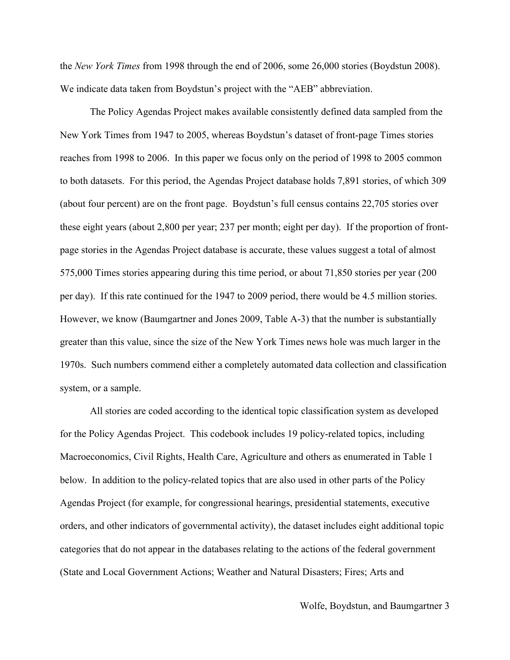the *New York Times* from 1998 through the end of 2006, some 26,000 stories (Boydstun 2008). We indicate data taken from Boydstun's project with the "AEB" abbreviation.

The Policy Agendas Project makes available consistently defined data sampled from the New York Times from 1947 to 2005, whereas Boydstun's dataset of front-page Times stories reaches from 1998 to 2006. In this paper we focus only on the period of 1998 to 2005 common to both datasets. For this period, the Agendas Project database holds 7,891 stories, of which 309 (about four percent) are on the front page. Boydstun's full census contains 22,705 stories over these eight years (about 2,800 per year; 237 per month; eight per day). If the proportion of frontpage stories in the Agendas Project database is accurate, these values suggest a total of almost 575,000 Times stories appearing during this time period, or about 71,850 stories per year (200 per day). If this rate continued for the 1947 to 2009 period, there would be 4.5 million stories. However, we know (Baumgartner and Jones 2009, Table A-3) that the number is substantially greater than this value, since the size of the New York Times news hole was much larger in the 1970s. Such numbers commend either a completely automated data collection and classification system, or a sample.

All stories are coded according to the identical topic classification system as developed for the Policy Agendas Project. This codebook includes 19 policy-related topics, including Macroeconomics, Civil Rights, Health Care, Agriculture and others as enumerated in Table 1 below. In addition to the policy-related topics that are also used in other parts of the Policy Agendas Project (for example, for congressional hearings, presidential statements, executive orders, and other indicators of governmental activity), the dataset includes eight additional topic categories that do not appear in the databases relating to the actions of the federal government (State and Local Government Actions; Weather and Natural Disasters; Fires; Arts and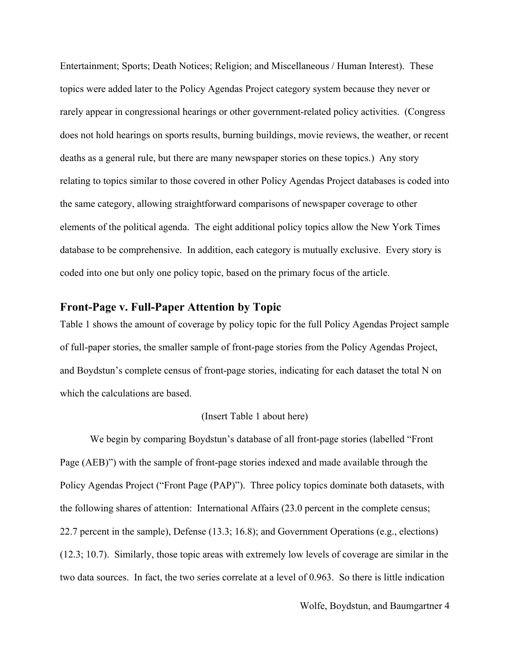Entertainment; Sports; Death Notices; Religion; and Miscellaneous / Human Interest). These topics were added later to the Policy Agendas Project category system because they never or rarely appear in congressional hearings or other government-related policy activities. (Congress does not hold hearings on sports results, burning buildings, movie reviews, the weather, or recent deaths as a general rule, but there are many newspaper stories on these topics.) Any story relating to topics similar to those covered in other Policy Agendas Project databases is coded into the same category, allowing straightforward comparisons of newspaper coverage to other elements of the political agenda. The eight additional policy topics allow the New York Times database to be comprehensive. In addition, each category is mutually exclusive. Every story is coded into one but only one policy topic, based on the primary focus of the article.

## **Front-Page v. Full-Paper Attention by Topic**

Table 1 shows the amount of coverage by policy topic for the full Policy Agendas Project sample of full-paper stories, the smaller sample of front-page stories from the Policy Agendas Project, and Boydstun's complete census of front-page stories, indicating for each dataset the total N on which the calculations are based.

#### (Insert Table 1 about here)

We begin by comparing Boydstun's database of all front-page stories (labelled "Front Page (AEB)") with the sample of front-page stories indexed and made available through the Policy Agendas Project ("Front Page (PAP)"). Three policy topics dominate both datasets, with the following shares of attention: International Affairs (23.0 percent in the complete census; 22.7 percent in the sample), Defense (13.3; 16.8); and Government Operations (e.g., elections) (12.3; 10.7). Similarly, those topic areas with extremely low levels of coverage are similar in the two data sources. In fact, the two series correlate at a level of 0.963. So there is little indication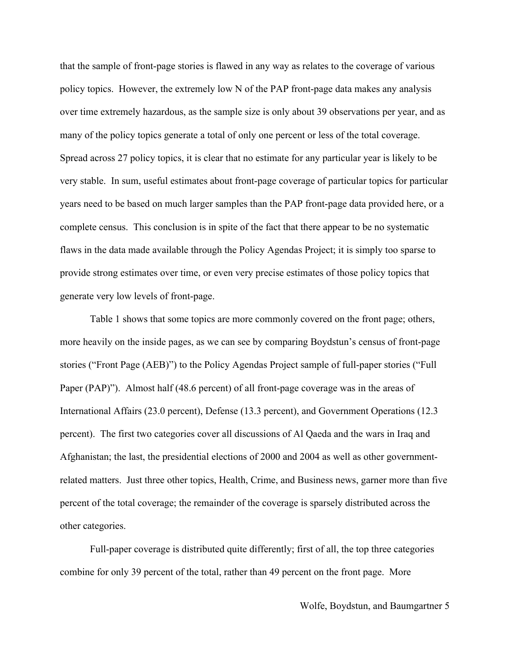that the sample of front-page stories is flawed in any way as relates to the coverage of various policy topics. However, the extremely low N of the PAP front-page data makes any analysis over time extremely hazardous, as the sample size is only about 39 observations per year, and as many of the policy topics generate a total of only one percent or less of the total coverage. Spread across 27 policy topics, it is clear that no estimate for any particular year is likely to be very stable. In sum, useful estimates about front-page coverage of particular topics for particular years need to be based on much larger samples than the PAP front-page data provided here, or a complete census. This conclusion is in spite of the fact that there appear to be no systematic flaws in the data made available through the Policy Agendas Project; it is simply too sparse to provide strong estimates over time, or even very precise estimates of those policy topics that generate very low levels of front-page.

Table 1 shows that some topics are more commonly covered on the front page; others, more heavily on the inside pages, as we can see by comparing Boydstun's census of front-page stories ("Front Page (AEB)") to the Policy Agendas Project sample of full-paper stories ("Full Paper (PAP)"). Almost half (48.6 percent) of all front-page coverage was in the areas of International Affairs (23.0 percent), Defense (13.3 percent), and Government Operations (12.3 percent). The first two categories cover all discussions of Al Qaeda and the wars in Iraq and Afghanistan; the last, the presidential elections of 2000 and 2004 as well as other governmentrelated matters. Just three other topics, Health, Crime, and Business news, garner more than five percent of the total coverage; the remainder of the coverage is sparsely distributed across the other categories.

Full-paper coverage is distributed quite differently; first of all, the top three categories combine for only 39 percent of the total, rather than 49 percent on the front page. More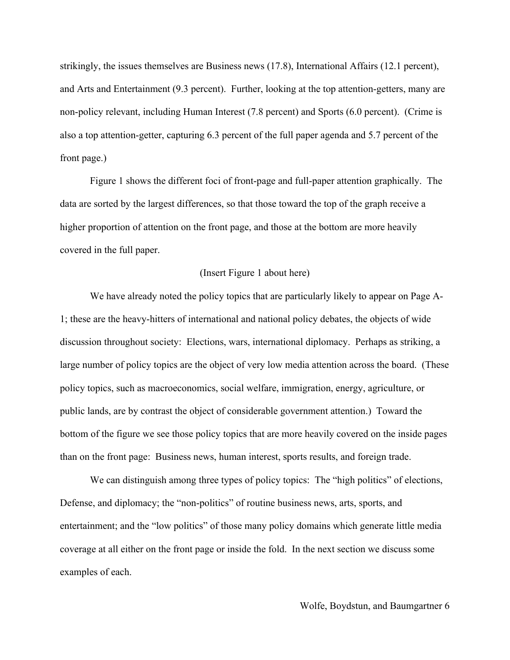strikingly, the issues themselves are Business news (17.8), International Affairs (12.1 percent), and Arts and Entertainment (9.3 percent). Further, looking at the top attention-getters, many are non-policy relevant, including Human Interest (7.8 percent) and Sports (6.0 percent). (Crime is also a top attention-getter, capturing 6.3 percent of the full paper agenda and 5.7 percent of the front page.)

Figure 1 shows the different foci of front-page and full-paper attention graphically. The data are sorted by the largest differences, so that those toward the top of the graph receive a higher proportion of attention on the front page, and those at the bottom are more heavily covered in the full paper.

## (Insert Figure 1 about here)

We have already noted the policy topics that are particularly likely to appear on Page A-1; these are the heavy-hitters of international and national policy debates, the objects of wide discussion throughout society: Elections, wars, international diplomacy. Perhaps as striking, a large number of policy topics are the object of very low media attention across the board. (These policy topics, such as macroeconomics, social welfare, immigration, energy, agriculture, or public lands, are by contrast the object of considerable government attention.) Toward the bottom of the figure we see those policy topics that are more heavily covered on the inside pages than on the front page: Business news, human interest, sports results, and foreign trade.

We can distinguish among three types of policy topics: The "high politics" of elections, Defense, and diplomacy; the "non-politics" of routine business news, arts, sports, and entertainment; and the "low politics" of those many policy domains which generate little media coverage at all either on the front page or inside the fold. In the next section we discuss some examples of each.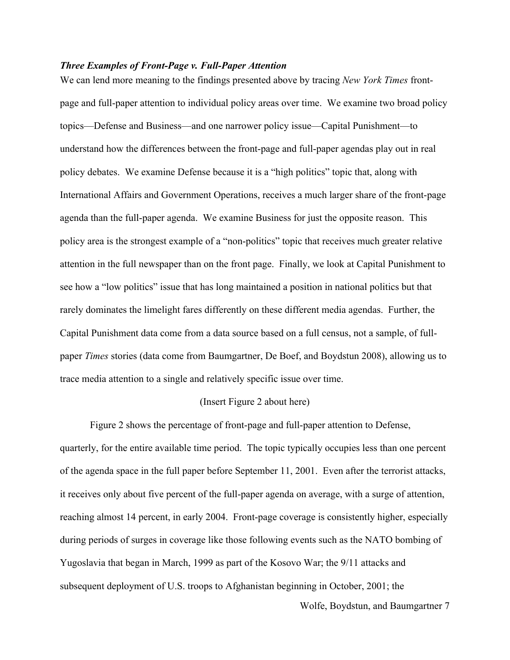## *Three Examples of Front-Page v. Full-Paper Attention*

We can lend more meaning to the findings presented above by tracing *New York Times* frontpage and full-paper attention to individual policy areas over time. We examine two broad policy topics—Defense and Business—and one narrower policy issue—Capital Punishment—to understand how the differences between the front-page and full-paper agendas play out in real policy debates. We examine Defense because it is a "high politics" topic that, along with International Affairs and Government Operations, receives a much larger share of the front-page agenda than the full-paper agenda. We examine Business for just the opposite reason. This policy area is the strongest example of a "non-politics" topic that receives much greater relative attention in the full newspaper than on the front page. Finally, we look at Capital Punishment to see how a "low politics" issue that has long maintained a position in national politics but that rarely dominates the limelight fares differently on these different media agendas. Further, the Capital Punishment data come from a data source based on a full census, not a sample, of fullpaper *Times* stories (data come from Baumgartner, De Boef, and Boydstun 2008), allowing us to trace media attention to a single and relatively specific issue over time.

#### (Insert Figure 2 about here)

Figure 2 shows the percentage of front-page and full-paper attention to Defense, quarterly, for the entire available time period. The topic typically occupies less than one percent of the agenda space in the full paper before September 11, 2001. Even after the terrorist attacks, it receives only about five percent of the full-paper agenda on average, with a surge of attention, reaching almost 14 percent, in early 2004. Front-page coverage is consistently higher, especially during periods of surges in coverage like those following events such as the NATO bombing of Yugoslavia that began in March, 1999 as part of the Kosovo War; the 9/11 attacks and subsequent deployment of U.S. troops to Afghanistan beginning in October, 2001; the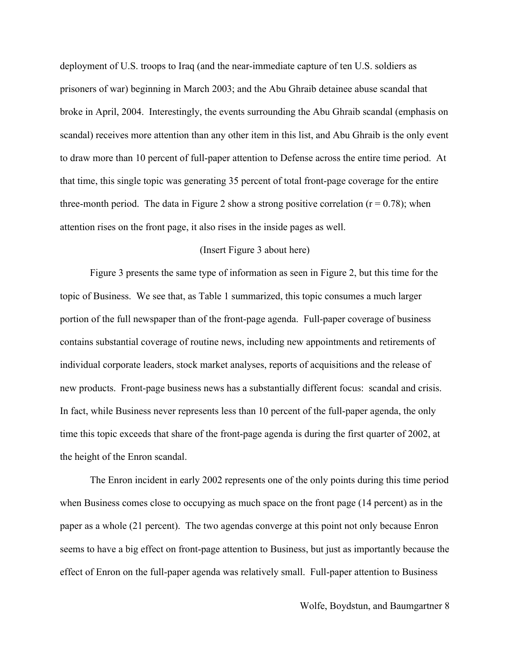deployment of U.S. troops to Iraq (and the near-immediate capture of ten U.S. soldiers as prisoners of war) beginning in March 2003; and the Abu Ghraib detainee abuse scandal that broke in April, 2004. Interestingly, the events surrounding the Abu Ghraib scandal (emphasis on scandal) receives more attention than any other item in this list, and Abu Ghraib is the only event to draw more than 10 percent of full-paper attention to Defense across the entire time period. At that time, this single topic was generating 35 percent of total front-page coverage for the entire three-month period. The data in Figure 2 show a strong positive correlation ( $r = 0.78$ ); when attention rises on the front page, it also rises in the inside pages as well.

## (Insert Figure 3 about here)

Figure 3 presents the same type of information as seen in Figure 2, but this time for the topic of Business. We see that, as Table 1 summarized, this topic consumes a much larger portion of the full newspaper than of the front-page agenda. Full-paper coverage of business contains substantial coverage of routine news, including new appointments and retirements of individual corporate leaders, stock market analyses, reports of acquisitions and the release of new products. Front-page business news has a substantially different focus: scandal and crisis. In fact, while Business never represents less than 10 percent of the full-paper agenda, the only time this topic exceeds that share of the front-page agenda is during the first quarter of 2002, at the height of the Enron scandal.

The Enron incident in early 2002 represents one of the only points during this time period when Business comes close to occupying as much space on the front page (14 percent) as in the paper as a whole (21 percent). The two agendas converge at this point not only because Enron seems to have a big effect on front-page attention to Business, but just as importantly because the effect of Enron on the full-paper agenda was relatively small. Full-paper attention to Business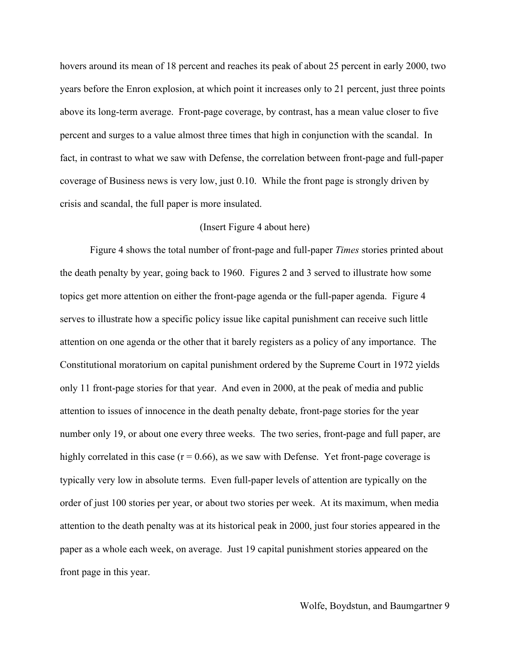hovers around its mean of 18 percent and reaches its peak of about 25 percent in early 2000, two years before the Enron explosion, at which point it increases only to 21 percent, just three points above its long-term average. Front-page coverage, by contrast, has a mean value closer to five percent and surges to a value almost three times that high in conjunction with the scandal. In fact, in contrast to what we saw with Defense, the correlation between front-page and full-paper coverage of Business news is very low, just 0.10. While the front page is strongly driven by crisis and scandal, the full paper is more insulated.

## (Insert Figure 4 about here)

Figure 4 shows the total number of front-page and full-paper *Times* stories printed about the death penalty by year, going back to 1960. Figures 2 and 3 served to illustrate how some topics get more attention on either the front-page agenda or the full-paper agenda. Figure 4 serves to illustrate how a specific policy issue like capital punishment can receive such little attention on one agenda or the other that it barely registers as a policy of any importance. The Constitutional moratorium on capital punishment ordered by the Supreme Court in 1972 yields only 11 front-page stories for that year. And even in 2000, at the peak of media and public attention to issues of innocence in the death penalty debate, front-page stories for the year number only 19, or about one every three weeks. The two series, front-page and full paper, are highly correlated in this case  $(r = 0.66)$ , as we saw with Defense. Yet front-page coverage is typically very low in absolute terms. Even full-paper levels of attention are typically on the order of just 100 stories per year, or about two stories per week. At its maximum, when media attention to the death penalty was at its historical peak in 2000, just four stories appeared in the paper as a whole each week, on average. Just 19 capital punishment stories appeared on the front page in this year.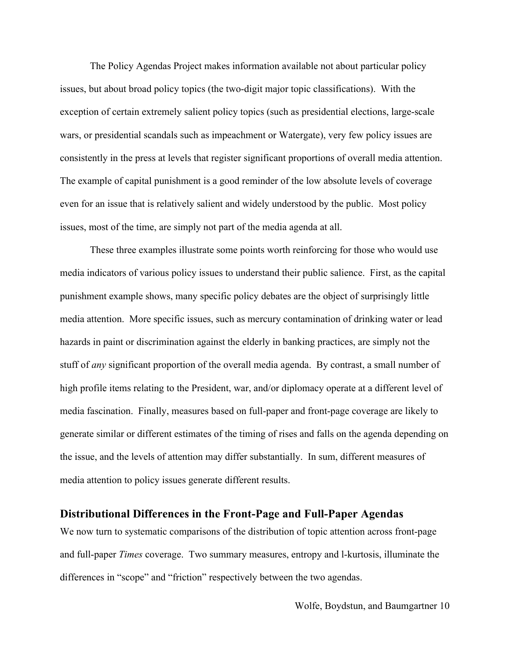The Policy Agendas Project makes information available not about particular policy issues, but about broad policy topics (the two-digit major topic classifications). With the exception of certain extremely salient policy topics (such as presidential elections, large-scale wars, or presidential scandals such as impeachment or Watergate), very few policy issues are consistently in the press at levels that register significant proportions of overall media attention. The example of capital punishment is a good reminder of the low absolute levels of coverage even for an issue that is relatively salient and widely understood by the public. Most policy issues, most of the time, are simply not part of the media agenda at all.

These three examples illustrate some points worth reinforcing for those who would use media indicators of various policy issues to understand their public salience. First, as the capital punishment example shows, many specific policy debates are the object of surprisingly little media attention. More specific issues, such as mercury contamination of drinking water or lead hazards in paint or discrimination against the elderly in banking practices, are simply not the stuff of *any* significant proportion of the overall media agenda. By contrast, a small number of high profile items relating to the President, war, and/or diplomacy operate at a different level of media fascination. Finally, measures based on full-paper and front-page coverage are likely to generate similar or different estimates of the timing of rises and falls on the agenda depending on the issue, and the levels of attention may differ substantially. In sum, different measures of media attention to policy issues generate different results.

# **Distributional Differences in the Front-Page and Full-Paper Agendas**

We now turn to systematic comparisons of the distribution of topic attention across front-page and full-paper *Times* coverage. Two summary measures, entropy and l-kurtosis, illuminate the differences in "scope" and "friction" respectively between the two agendas.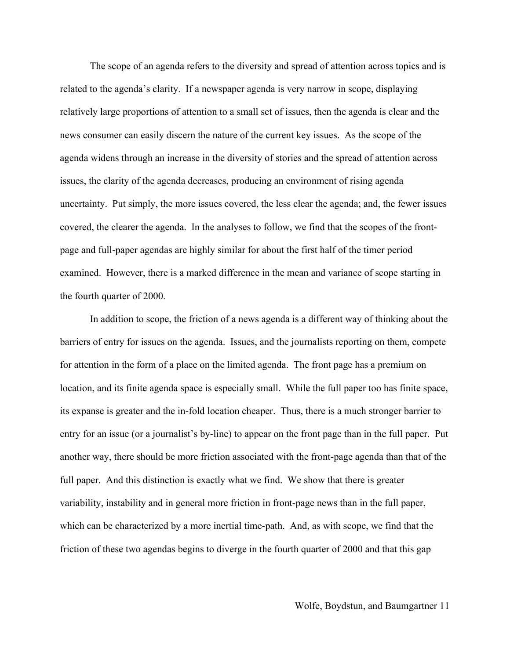The scope of an agenda refers to the diversity and spread of attention across topics and is related to the agenda's clarity. If a newspaper agenda is very narrow in scope, displaying relatively large proportions of attention to a small set of issues, then the agenda is clear and the news consumer can easily discern the nature of the current key issues. As the scope of the agenda widens through an increase in the diversity of stories and the spread of attention across issues, the clarity of the agenda decreases, producing an environment of rising agenda uncertainty. Put simply, the more issues covered, the less clear the agenda; and, the fewer issues covered, the clearer the agenda. In the analyses to follow, we find that the scopes of the frontpage and full-paper agendas are highly similar for about the first half of the timer period examined. However, there is a marked difference in the mean and variance of scope starting in the fourth quarter of 2000.

In addition to scope, the friction of a news agenda is a different way of thinking about the barriers of entry for issues on the agenda. Issues, and the journalists reporting on them, compete for attention in the form of a place on the limited agenda. The front page has a premium on location, and its finite agenda space is especially small. While the full paper too has finite space, its expanse is greater and the in-fold location cheaper. Thus, there is a much stronger barrier to entry for an issue (or a journalist's by-line) to appear on the front page than in the full paper. Put another way, there should be more friction associated with the front-page agenda than that of the full paper. And this distinction is exactly what we find. We show that there is greater variability, instability and in general more friction in front-page news than in the full paper, which can be characterized by a more inertial time-path. And, as with scope, we find that the friction of these two agendas begins to diverge in the fourth quarter of 2000 and that this gap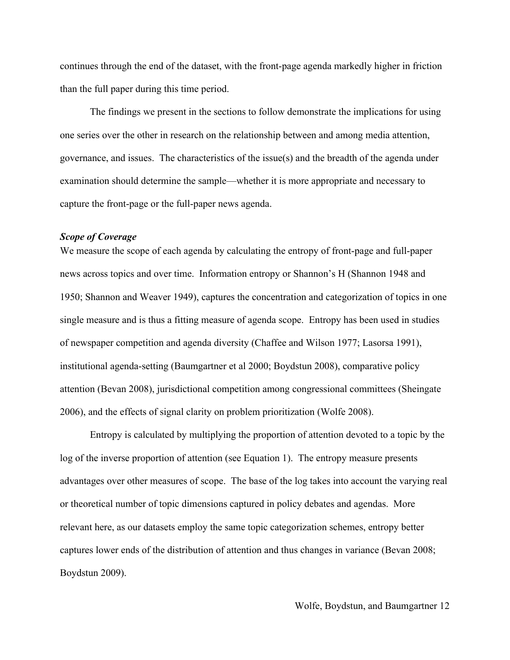continues through the end of the dataset, with the front-page agenda markedly higher in friction than the full paper during this time period.

The findings we present in the sections to follow demonstrate the implications for using one series over the other in research on the relationship between and among media attention, governance, and issues. The characteristics of the issue(s) and the breadth of the agenda under examination should determine the sample—whether it is more appropriate and necessary to capture the front-page or the full-paper news agenda.

## *Scope of Coverage*

We measure the scope of each agenda by calculating the entropy of front-page and full-paper news across topics and over time. Information entropy or Shannon's H (Shannon 1948 and 1950; Shannon and Weaver 1949), captures the concentration and categorization of topics in one single measure and is thus a fitting measure of agenda scope. Entropy has been used in studies of newspaper competition and agenda diversity (Chaffee and Wilson 1977; Lasorsa 1991), institutional agenda-setting (Baumgartner et al 2000; Boydstun 2008), comparative policy attention (Bevan 2008), jurisdictional competition among congressional committees (Sheingate 2006), and the effects of signal clarity on problem prioritization (Wolfe 2008).

Entropy is calculated by multiplying the proportion of attention devoted to a topic by the log of the inverse proportion of attention (see Equation 1). The entropy measure presents advantages over other measures of scope. The base of the log takes into account the varying real or theoretical number of topic dimensions captured in policy debates and agendas. More relevant here, as our datasets employ the same topic categorization schemes, entropy better captures lower ends of the distribution of attention and thus changes in variance (Bevan 2008; Boydstun 2009).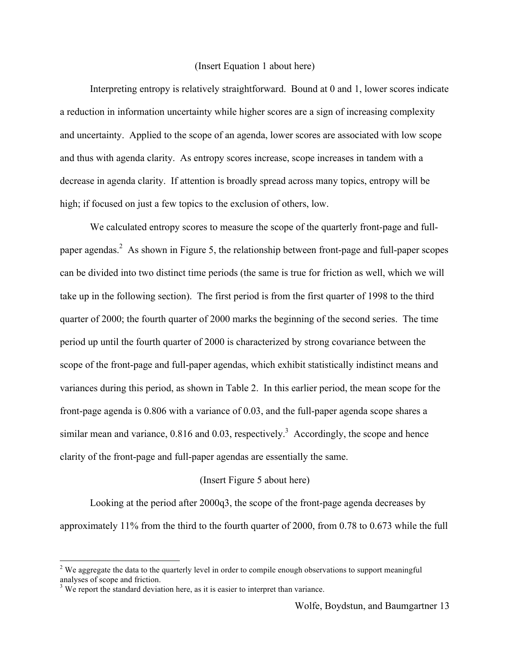## (Insert Equation 1 about here)

Interpreting entropy is relatively straightforward. Bound at 0 and 1, lower scores indicate a reduction in information uncertainty while higher scores are a sign of increasing complexity and uncertainty. Applied to the scope of an agenda, lower scores are associated with low scope and thus with agenda clarity. As entropy scores increase, scope increases in tandem with a decrease in agenda clarity. If attention is broadly spread across many topics, entropy will be high; if focused on just a few topics to the exclusion of others, low.

We calculated entropy scores to measure the scope of the quarterly front-page and fullpaper agendas.<sup>2</sup> As shown in Figure 5, the relationship between front-page and full-paper scopes can be divided into two distinct time periods (the same is true for friction as well, which we will take up in the following section). The first period is from the first quarter of 1998 to the third quarter of 2000; the fourth quarter of 2000 marks the beginning of the second series. The time period up until the fourth quarter of 2000 is characterized by strong covariance between the scope of the front-page and full-paper agendas, which exhibit statistically indistinct means and variances during this period, as shown in Table 2. In this earlier period, the mean scope for the front-page agenda is 0.806 with a variance of 0.03, and the full-paper agenda scope shares a similar mean and variance,  $0.816$  and  $0.03$ , respectively.<sup>3</sup> Accordingly, the scope and hence clarity of the front-page and full-paper agendas are essentially the same.

## (Insert Figure 5 about here)

Looking at the period after 2000q3, the scope of the front-page agenda decreases by approximately 11% from the third to the fourth quarter of 2000, from 0.78 to 0.673 while the full

 $\frac{1}{2}$ <sup>2</sup> We aggregate the data to the quarterly level in order to compile enough observations to support meaningful analyses of scope and friction.

 $3$  We report the standard deviation here, as it is easier to interpret than variance.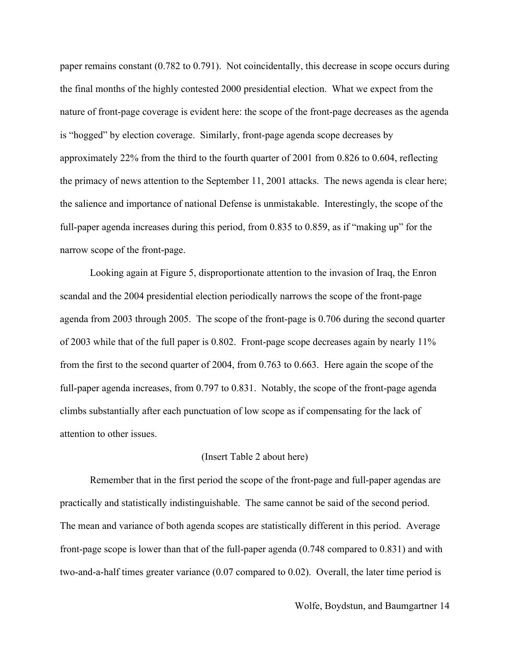paper remains constant (0.782 to 0.791). Not coincidentally, this decrease in scope occurs during the final months of the highly contested 2000 presidential election. What we expect from the nature of front-page coverage is evident here: the scope of the front-page decreases as the agenda is "hogged" by election coverage. Similarly, front-page agenda scope decreases by approximately 22% from the third to the fourth quarter of 2001 from 0.826 to 0.604, reflecting the primacy of news attention to the September 11, 2001 attacks. The news agenda is clear here; the salience and importance of national Defense is unmistakable. Interestingly, the scope of the full-paper agenda increases during this period, from 0.835 to 0.859, as if "making up" for the narrow scope of the front-page.

Looking again at Figure 5, disproportionate attention to the invasion of Iraq, the Enron scandal and the 2004 presidential election periodically narrows the scope of the front-page agenda from 2003 through 2005. The scope of the front-page is 0.706 during the second quarter of 2003 while that of the full paper is 0.802. Front-page scope decreases again by nearly 11% from the first to the second quarter of 2004, from 0.763 to 0.663. Here again the scope of the full-paper agenda increases, from 0.797 to 0.831. Notably, the scope of the front-page agenda climbs substantially after each punctuation of low scope as if compensating for the lack of attention to other issues.

# (Insert Table 2 about here)

Remember that in the first period the scope of the front-page and full-paper agendas are practically and statistically indistinguishable. The same cannot be said of the second period. The mean and variance of both agenda scopes are statistically different in this period. Average front-page scope is lower than that of the full-paper agenda (0.748 compared to 0.831) and with two-and-a-half times greater variance (0.07 compared to 0.02). Overall, the later time period is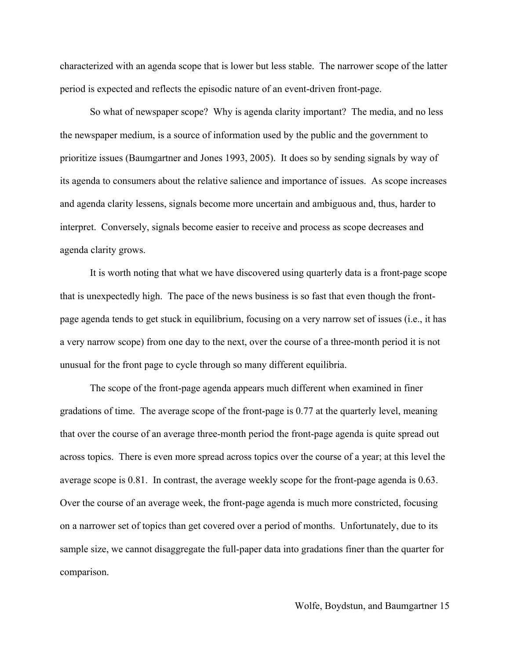characterized with an agenda scope that is lower but less stable. The narrower scope of the latter period is expected and reflects the episodic nature of an event-driven front-page.

So what of newspaper scope? Why is agenda clarity important? The media, and no less the newspaper medium, is a source of information used by the public and the government to prioritize issues (Baumgartner and Jones 1993, 2005). It does so by sending signals by way of its agenda to consumers about the relative salience and importance of issues. As scope increases and agenda clarity lessens, signals become more uncertain and ambiguous and, thus, harder to interpret. Conversely, signals become easier to receive and process as scope decreases and agenda clarity grows.

It is worth noting that what we have discovered using quarterly data is a front-page scope that is unexpectedly high. The pace of the news business is so fast that even though the frontpage agenda tends to get stuck in equilibrium, focusing on a very narrow set of issues (i.e., it has a very narrow scope) from one day to the next, over the course of a three-month period it is not unusual for the front page to cycle through so many different equilibria.

The scope of the front-page agenda appears much different when examined in finer gradations of time. The average scope of the front-page is 0.77 at the quarterly level, meaning that over the course of an average three-month period the front-page agenda is quite spread out across topics. There is even more spread across topics over the course of a year; at this level the average scope is 0.81. In contrast, the average weekly scope for the front-page agenda is 0.63. Over the course of an average week, the front-page agenda is much more constricted, focusing on a narrower set of topics than get covered over a period of months. Unfortunately, due to its sample size, we cannot disaggregate the full-paper data into gradations finer than the quarter for comparison.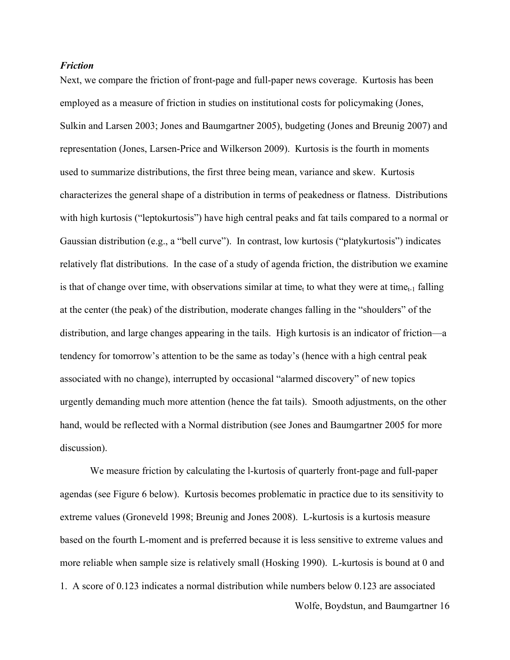#### *Friction*

Next, we compare the friction of front-page and full-paper news coverage. Kurtosis has been employed as a measure of friction in studies on institutional costs for policymaking (Jones, Sulkin and Larsen 2003; Jones and Baumgartner 2005), budgeting (Jones and Breunig 2007) and representation (Jones, Larsen-Price and Wilkerson 2009). Kurtosis is the fourth in moments used to summarize distributions, the first three being mean, variance and skew. Kurtosis characterizes the general shape of a distribution in terms of peakedness or flatness. Distributions with high kurtosis ("leptokurtosis") have high central peaks and fat tails compared to a normal or Gaussian distribution (e.g., a "bell curve"). In contrast, low kurtosis ("platykurtosis") indicates relatively flat distributions. In the case of a study of agenda friction, the distribution we examine is that of change over time, with observations similar at time<sub>t</sub> to what they were at time<sub>t-1</sub> falling at the center (the peak) of the distribution, moderate changes falling in the "shoulders" of the distribution, and large changes appearing in the tails. High kurtosis is an indicator of friction—a tendency for tomorrow's attention to be the same as today's (hence with a high central peak associated with no change), interrupted by occasional "alarmed discovery" of new topics urgently demanding much more attention (hence the fat tails). Smooth adjustments, on the other hand, would be reflected with a Normal distribution (see Jones and Baumgartner 2005 for more discussion).

Wolfe, Boydstun, and Baumgartner 16 We measure friction by calculating the l-kurtosis of quarterly front-page and full-paper agendas (see Figure 6 below). Kurtosis becomes problematic in practice due to its sensitivity to extreme values (Groneveld 1998; Breunig and Jones 2008). L-kurtosis is a kurtosis measure based on the fourth L-moment and is preferred because it is less sensitive to extreme values and more reliable when sample size is relatively small (Hosking 1990). L-kurtosis is bound at 0 and 1. A score of 0.123 indicates a normal distribution while numbers below 0.123 are associated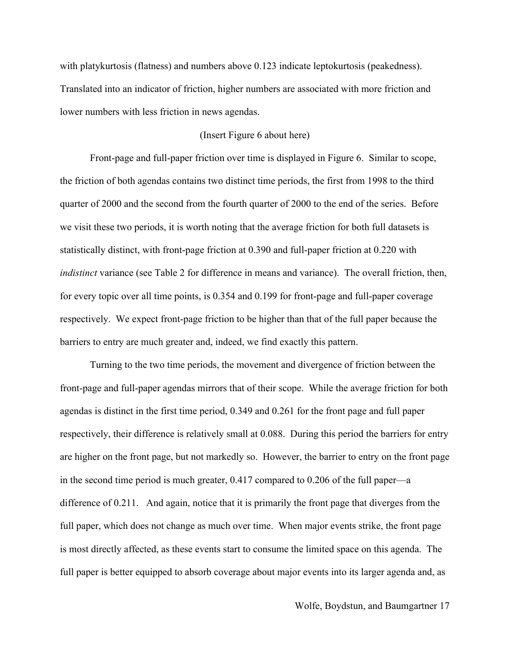with platykurtosis (flatness) and numbers above 0.123 indicate leptokurtosis (peakedness). Translated into an indicator of friction, higher numbers are associated with more friction and lower numbers with less friction in news agendas.

## (Insert Figure 6 about here)

Front-page and full-paper friction over time is displayed in Figure 6. Similar to scope, the friction of both agendas contains two distinct time periods, the first from 1998 to the third quarter of 2000 and the second from the fourth quarter of 2000 to the end of the series. Before we visit these two periods, it is worth noting that the average friction for both full datasets is statistically distinct, with front-page friction at 0.390 and full-paper friction at 0.220 with *indistinct* variance (see Table 2 for difference in means and variance). The overall friction, then, for every topic over all time points, is 0.354 and 0.199 for front-page and full-paper coverage respectively. We expect front-page friction to be higher than that of the full paper because the barriers to entry are much greater and, indeed, we find exactly this pattern.

Turning to the two time periods, the movement and divergence of friction between the front-page and full-paper agendas mirrors that of their scope. While the average friction for both agendas is distinct in the first time period, 0.349 and 0.261 for the front page and full paper respectively, their difference is relatively small at 0.088. During this period the barriers for entry are higher on the front page, but not markedly so. However, the barrier to entry on the front page in the second time period is much greater, 0.417 compared to 0.206 of the full paper—a difference of 0.211. And again, notice that it is primarily the front page that diverges from the full paper, which does not change as much over time. When major events strike, the front page is most directly affected, as these events start to consume the limited space on this agenda. The full paper is better equipped to absorb coverage about major events into its larger agenda and, as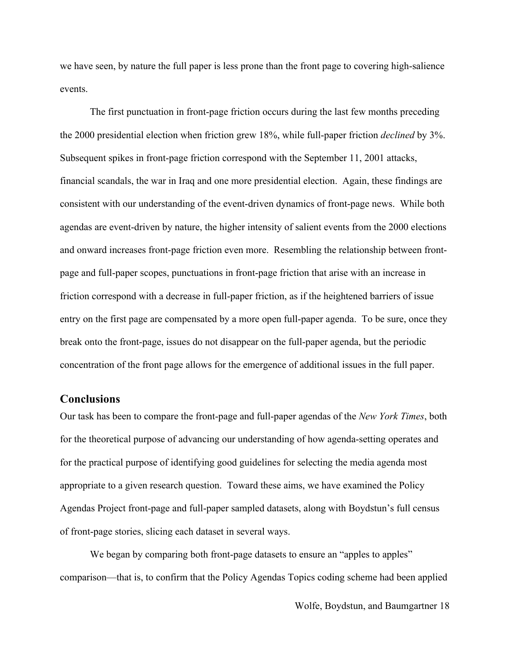we have seen, by nature the full paper is less prone than the front page to covering high-salience events.

The first punctuation in front-page friction occurs during the last few months preceding the 2000 presidential election when friction grew 18%, while full-paper friction *declined* by 3%. Subsequent spikes in front-page friction correspond with the September 11, 2001 attacks, financial scandals, the war in Iraq and one more presidential election. Again, these findings are consistent with our understanding of the event-driven dynamics of front-page news. While both agendas are event-driven by nature, the higher intensity of salient events from the 2000 elections and onward increases front-page friction even more. Resembling the relationship between frontpage and full-paper scopes, punctuations in front-page friction that arise with an increase in friction correspond with a decrease in full-paper friction, as if the heightened barriers of issue entry on the first page are compensated by a more open full-paper agenda. To be sure, once they break onto the front-page, issues do not disappear on the full-paper agenda, but the periodic concentration of the front page allows for the emergence of additional issues in the full paper.

# **Conclusions**

Our task has been to compare the front-page and full-paper agendas of the *New York Times*, both for the theoretical purpose of advancing our understanding of how agenda-setting operates and for the practical purpose of identifying good guidelines for selecting the media agenda most appropriate to a given research question. Toward these aims, we have examined the Policy Agendas Project front-page and full-paper sampled datasets, along with Boydstun's full census of front-page stories, slicing each dataset in several ways.

We began by comparing both front-page datasets to ensure an "apples to apples" comparison—that is, to confirm that the Policy Agendas Topics coding scheme had been applied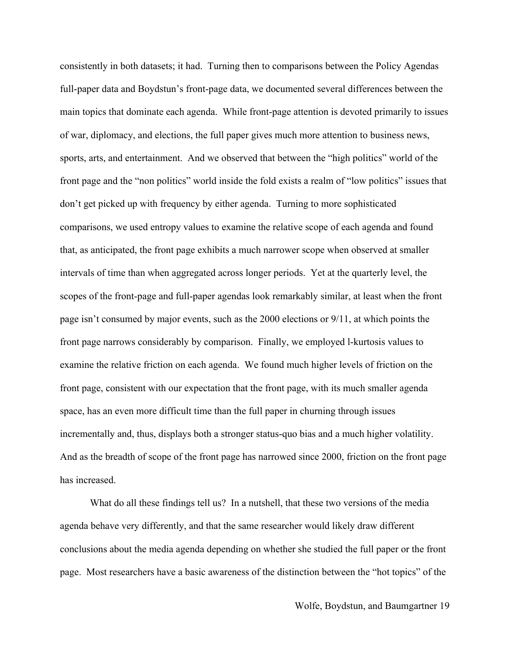consistently in both datasets; it had. Turning then to comparisons between the Policy Agendas full-paper data and Boydstun's front-page data, we documented several differences between the main topics that dominate each agenda. While front-page attention is devoted primarily to issues of war, diplomacy, and elections, the full paper gives much more attention to business news, sports, arts, and entertainment. And we observed that between the "high politics" world of the front page and the "non politics" world inside the fold exists a realm of "low politics" issues that don't get picked up with frequency by either agenda. Turning to more sophisticated comparisons, we used entropy values to examine the relative scope of each agenda and found that, as anticipated, the front page exhibits a much narrower scope when observed at smaller intervals of time than when aggregated across longer periods. Yet at the quarterly level, the scopes of the front-page and full-paper agendas look remarkably similar, at least when the front page isn't consumed by major events, such as the 2000 elections or 9/11, at which points the front page narrows considerably by comparison. Finally, we employed l-kurtosis values to examine the relative friction on each agenda. We found much higher levels of friction on the front page, consistent with our expectation that the front page, with its much smaller agenda space, has an even more difficult time than the full paper in churning through issues incrementally and, thus, displays both a stronger status-quo bias and a much higher volatility. And as the breadth of scope of the front page has narrowed since 2000, friction on the front page has increased.

What do all these findings tell us? In a nutshell, that these two versions of the media agenda behave very differently, and that the same researcher would likely draw different conclusions about the media agenda depending on whether she studied the full paper or the front page. Most researchers have a basic awareness of the distinction between the "hot topics" of the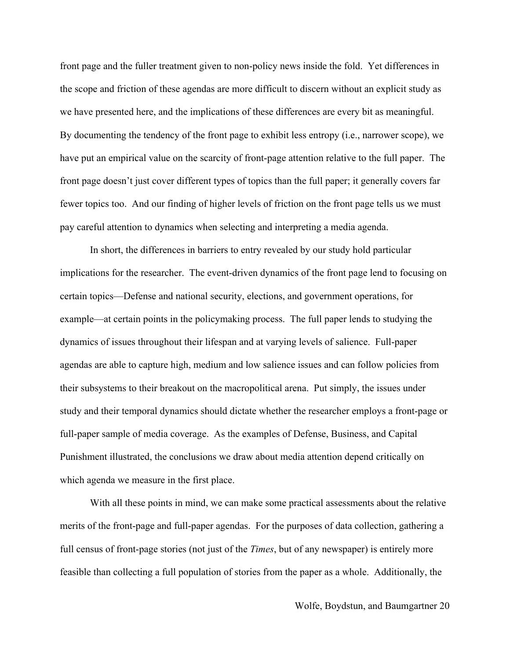front page and the fuller treatment given to non-policy news inside the fold. Yet differences in the scope and friction of these agendas are more difficult to discern without an explicit study as we have presented here, and the implications of these differences are every bit as meaningful. By documenting the tendency of the front page to exhibit less entropy (i.e., narrower scope), we have put an empirical value on the scarcity of front-page attention relative to the full paper. The front page doesn't just cover different types of topics than the full paper; it generally covers far fewer topics too. And our finding of higher levels of friction on the front page tells us we must pay careful attention to dynamics when selecting and interpreting a media agenda.

In short, the differences in barriers to entry revealed by our study hold particular implications for the researcher. The event-driven dynamics of the front page lend to focusing on certain topics—Defense and national security, elections, and government operations, for example—at certain points in the policymaking process. The full paper lends to studying the dynamics of issues throughout their lifespan and at varying levels of salience. Full-paper agendas are able to capture high, medium and low salience issues and can follow policies from their subsystems to their breakout on the macropolitical arena. Put simply, the issues under study and their temporal dynamics should dictate whether the researcher employs a front-page or full-paper sample of media coverage. As the examples of Defense, Business, and Capital Punishment illustrated, the conclusions we draw about media attention depend critically on which agenda we measure in the first place.

With all these points in mind, we can make some practical assessments about the relative merits of the front-page and full-paper agendas. For the purposes of data collection, gathering a full census of front-page stories (not just of the *Times*, but of any newspaper) is entirely more feasible than collecting a full population of stories from the paper as a whole. Additionally, the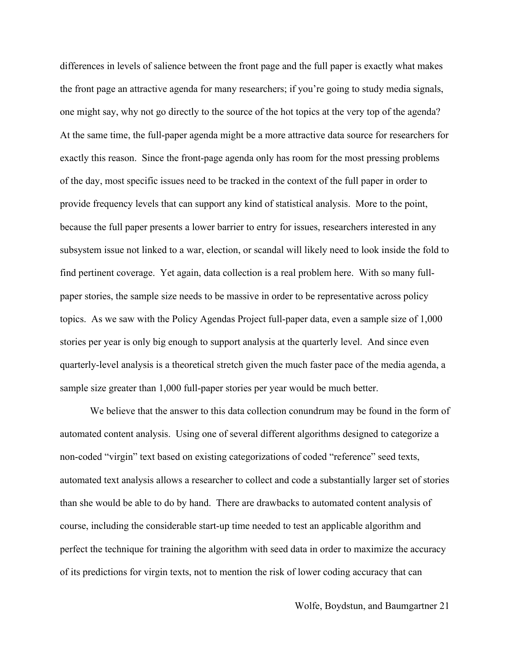differences in levels of salience between the front page and the full paper is exactly what makes the front page an attractive agenda for many researchers; if you're going to study media signals, one might say, why not go directly to the source of the hot topics at the very top of the agenda? At the same time, the full-paper agenda might be a more attractive data source for researchers for exactly this reason. Since the front-page agenda only has room for the most pressing problems of the day, most specific issues need to be tracked in the context of the full paper in order to provide frequency levels that can support any kind of statistical analysis. More to the point, because the full paper presents a lower barrier to entry for issues, researchers interested in any subsystem issue not linked to a war, election, or scandal will likely need to look inside the fold to find pertinent coverage. Yet again, data collection is a real problem here. With so many fullpaper stories, the sample size needs to be massive in order to be representative across policy topics. As we saw with the Policy Agendas Project full-paper data, even a sample size of 1,000 stories per year is only big enough to support analysis at the quarterly level. And since even quarterly-level analysis is a theoretical stretch given the much faster pace of the media agenda, a sample size greater than 1,000 full-paper stories per year would be much better.

We believe that the answer to this data collection conundrum may be found in the form of automated content analysis. Using one of several different algorithms designed to categorize a non-coded "virgin" text based on existing categorizations of coded "reference" seed texts, automated text analysis allows a researcher to collect and code a substantially larger set of stories than she would be able to do by hand. There are drawbacks to automated content analysis of course, including the considerable start-up time needed to test an applicable algorithm and perfect the technique for training the algorithm with seed data in order to maximize the accuracy of its predictions for virgin texts, not to mention the risk of lower coding accuracy that can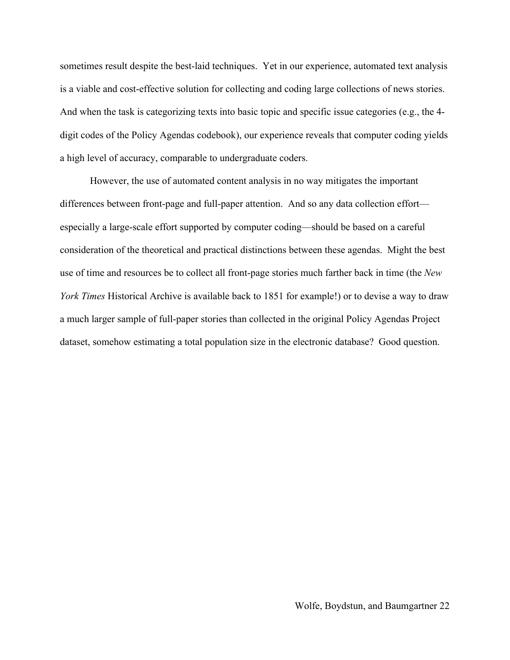sometimes result despite the best-laid techniques. Yet in our experience, automated text analysis is a viable and cost-effective solution for collecting and coding large collections of news stories. And when the task is categorizing texts into basic topic and specific issue categories (e.g., the 4 digit codes of the Policy Agendas codebook), our experience reveals that computer coding yields a high level of accuracy, comparable to undergraduate coders.

However, the use of automated content analysis in no way mitigates the important differences between front-page and full-paper attention. And so any data collection effort especially a large-scale effort supported by computer coding—should be based on a careful consideration of the theoretical and practical distinctions between these agendas. Might the best use of time and resources be to collect all front-page stories much farther back in time (the *New York Times* Historical Archive is available back to 1851 for example!) or to devise a way to draw a much larger sample of full-paper stories than collected in the original Policy Agendas Project dataset, somehow estimating a total population size in the electronic database? Good question.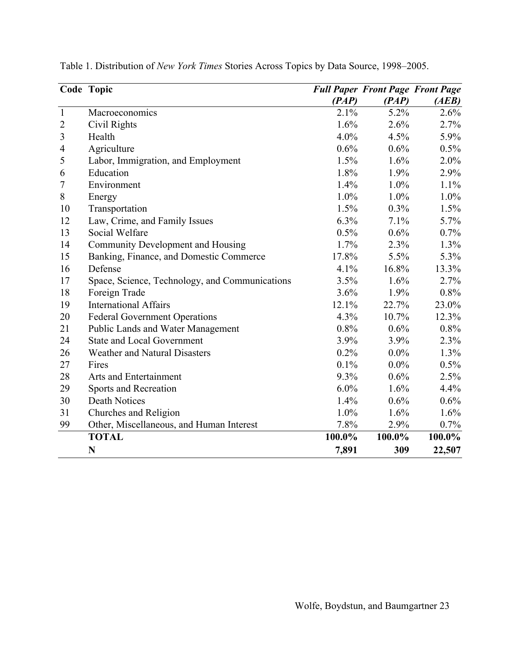|                | Code Topic                                     |         | <b>Full Paper Front Page Front Page</b> |         |
|----------------|------------------------------------------------|---------|-----------------------------------------|---------|
|                |                                                | (PAP)   | (PAP)                                   | (AEB)   |
| $\mathbf{1}$   | Macroeconomics                                 | 2.1%    | 5.2%                                    | 2.6%    |
| $\overline{2}$ | Civil Rights                                   | 1.6%    | 2.6%                                    | 2.7%    |
| $\mathfrak{Z}$ | Health                                         | 4.0%    | 4.5%                                    | 5.9%    |
| $\overline{4}$ | Agriculture                                    | 0.6%    | 0.6%                                    | 0.5%    |
| 5              | Labor, Immigration, and Employment             | 1.5%    | 1.6%                                    | $2.0\%$ |
| 6              | Education                                      | 1.8%    | 1.9%                                    | 2.9%    |
| 7              | Environment                                    | 1.4%    | 1.0%                                    | 1.1%    |
| $8\,$          | Energy                                         | 1.0%    | 1.0%                                    | $1.0\%$ |
| 10             | Transportation                                 | 1.5%    | 0.3%                                    | 1.5%    |
| 12             | Law, Crime, and Family Issues                  | 6.3%    | 7.1%                                    | 5.7%    |
| 13             | Social Welfare                                 | 0.5%    | 0.6%                                    | $0.7\%$ |
| 14             | Community Development and Housing              | 1.7%    | 2.3%                                    | 1.3%    |
| 15             | Banking, Finance, and Domestic Commerce        | 17.8%   | 5.5%                                    | 5.3%    |
| 16             | Defense                                        | 4.1%    | 16.8%                                   | 13.3%   |
| 17             | Space, Science, Technology, and Communications | 3.5%    | 1.6%                                    | 2.7%    |
| 18             | Foreign Trade                                  | 3.6%    | 1.9%                                    | 0.8%    |
| 19             | <b>International Affairs</b>                   | 12.1%   | 22.7%                                   | 23.0%   |
| 20             | <b>Federal Government Operations</b>           | 4.3%    | 10.7%                                   | 12.3%   |
| 21             | <b>Public Lands and Water Management</b>       | 0.8%    | 0.6%                                    | $0.8\%$ |
| 24             | <b>State and Local Government</b>              | 3.9%    | 3.9%                                    | 2.3%    |
| 26             | Weather and Natural Disasters                  | 0.2%    | $0.0\%$                                 | 1.3%    |
| 27             | Fires                                          | 0.1%    | $0.0\%$                                 | $0.5\%$ |
| 28             | Arts and Entertainment                         | 9.3%    | 0.6%                                    | 2.5%    |
| 29             | Sports and Recreation                          | $6.0\%$ | 1.6%                                    | 4.4%    |
| 30             | <b>Death Notices</b>                           | 1.4%    | 0.6%                                    | 0.6%    |
| 31             | Churches and Religion                          | 1.0%    | 1.6%                                    | 1.6%    |
| 99             | Other, Miscellaneous, and Human Interest       | 7.8%    | 2.9%                                    | 0.7%    |
|                | <b>TOTAL</b>                                   | 100.0%  | 100.0%                                  | 100.0%  |
|                | N                                              | 7,891   | 309                                     | 22,507  |

Table 1. Distribution of *New York Times* Stories Across Topics by Data Source, 1998–2005.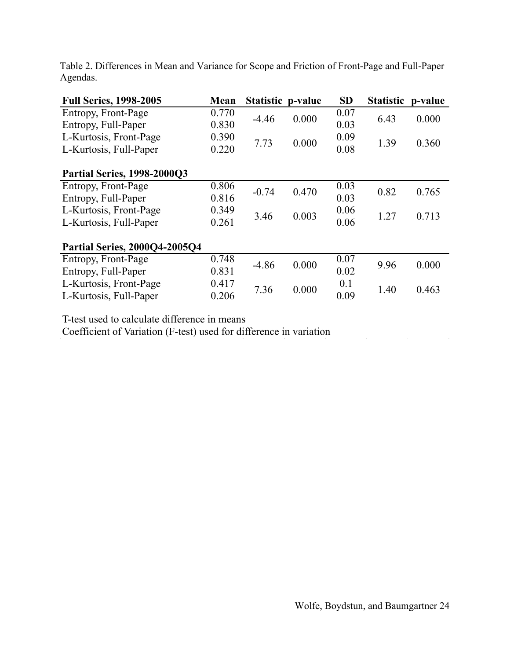| <b>Full Series, 1998-2005</b>        | <b>Mean</b> | Statistic p-value |       | <b>SD</b> | <b>Statistic</b> | p-value |  |  |
|--------------------------------------|-------------|-------------------|-------|-----------|------------------|---------|--|--|
| Entropy, Front-Page                  | 0.770       | $-4.46$           | 0.000 | 0.07      | 6.43             | 0.000   |  |  |
| Entropy, Full-Paper                  | 0.830       |                   |       | 0.03      |                  |         |  |  |
| L-Kurtosis, Front-Page               | 0.390       | 7.73              | 0.000 | 0.09      | 1.39             | 0.360   |  |  |
| L-Kurtosis, Full-Paper               | 0.220       |                   |       | 0.08      |                  |         |  |  |
|                                      |             |                   |       |           |                  |         |  |  |
| <b>Partial Series, 1998-2000Q3</b>   |             |                   |       |           |                  |         |  |  |
| Entropy, Front-Page                  | 0.806       | $-0.74$           | 0.470 | 0.03      | 0.82             | 0.765   |  |  |
| Entropy, Full-Paper                  | 0.816       |                   |       | 0.03      |                  |         |  |  |
| L-Kurtosis, Front-Page               | 0.349       | 3.46              | 0.003 | 0.06      | 1.27             | 0.713   |  |  |
| L-Kurtosis, Full-Paper               | 0.261       |                   |       | 0.06      |                  |         |  |  |
|                                      |             |                   |       |           |                  |         |  |  |
| <b>Partial Series, 2000Q4-2005Q4</b> |             |                   |       |           |                  |         |  |  |
| Entropy, Front-Page                  | 0.748       | $-4.86$           | 0.000 | 0.07      | 9.96             | 0.000   |  |  |
| Entropy, Full-Paper                  | 0.831       |                   |       | 0.02      |                  |         |  |  |
| L-Kurtosis, Front-Page               | 0.417       | 7.36              | 0.000 | 0.1       | 1.40             | 0.463   |  |  |
| L-Kurtosis, Full-Paper               | 0.206       |                   |       | 0.09      |                  |         |  |  |

Table 2. Differences in Mean and Variance for Scope and Friction of Front-Page and Full-Paper Agendas.

T-test used to calculate difference in means

Coefficient of Variation (F-test) used for difference in variation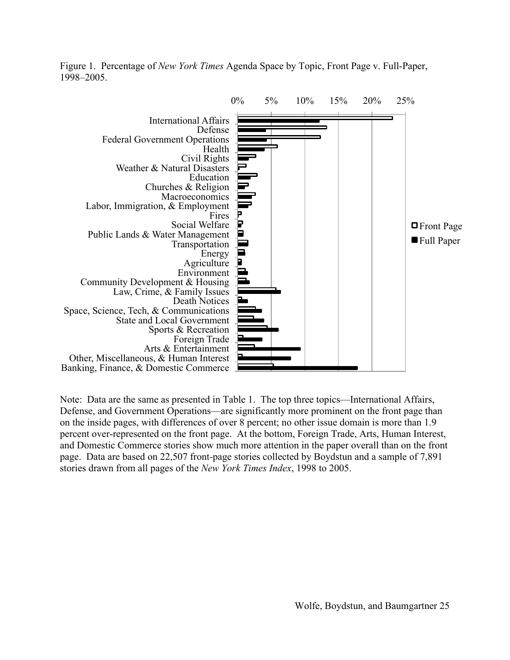Figure 1. Percentage of *New York Times* Agenda Space by Topic, Front Page v. Full-Paper, 1998–2005.



Note: Data are the same as presented in Table 1. The top three topics—International Affairs, Defense, and Government Operations—are significantly more prominent on the front page than on the inside pages, with differences of over 8 percent; no other issue domain is more than 1.9 percent over-represented on the front page. At the bottom, Foreign Trade, Arts, Human Interest, and Domestic Commerce stories show much more attention in the paper overall than on the front page. Data are based on 22,507 front-page stories collected by Boydstun and a sample of 7,891 stories drawn from all pages of the *New York Times Index*, 1998 to 2005.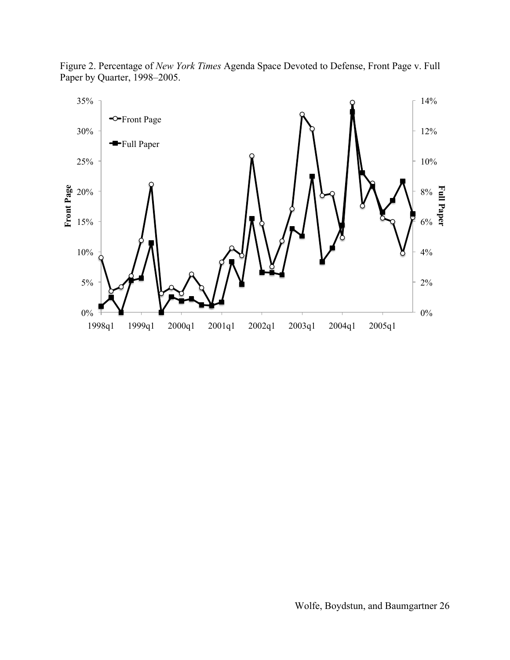

Figure 2. Percentage of *New York Times* Agenda Space Devoted to Defense, Front Page v. Full Paper by Quarter, 1998–2005.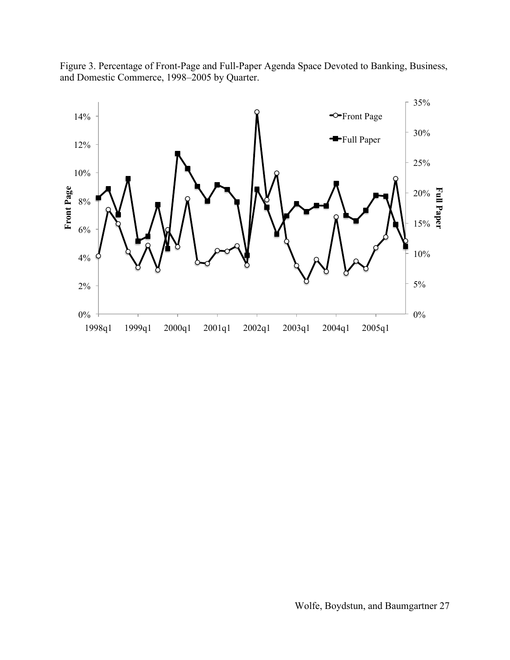Figure 3. Percentage of Front-Page and Full-Paper Agenda Space Devoted to Banking, Business, and Domestic Commerce, 1998–2005 by Quarter.

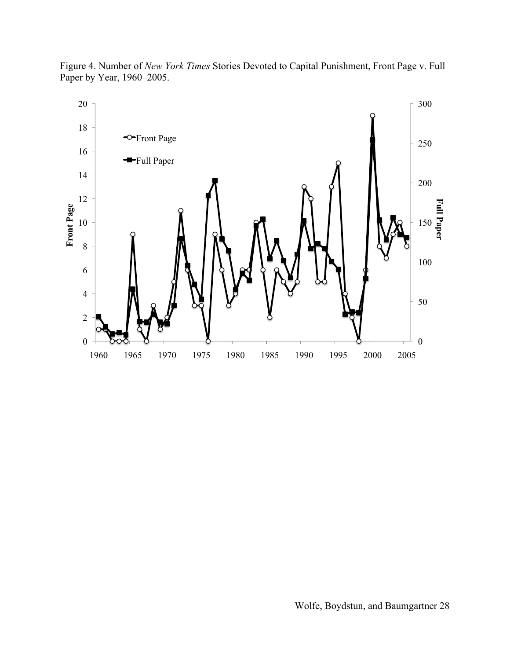

Figure 4. Number of *New York Times* Stories Devoted to Capital Punishment, Front Page v. Full Paper by Year, 1960–2005.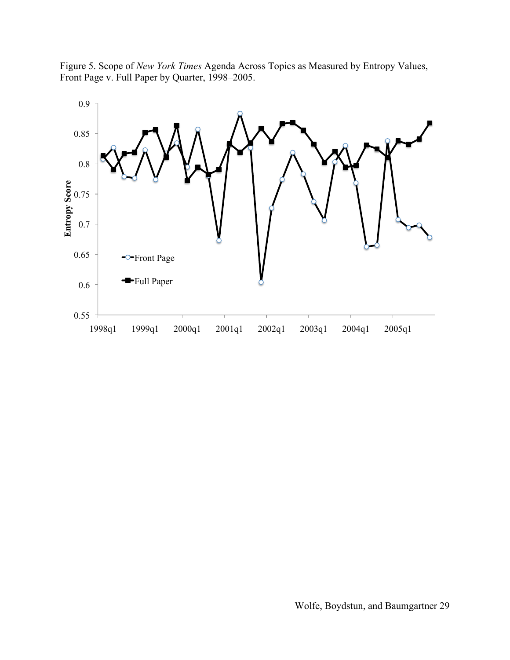Figure 5. Scope of *New York Times* Agenda Across Topics as Measured by Entropy Values, Front Page v. Full Paper by Quarter, 1998–2005.

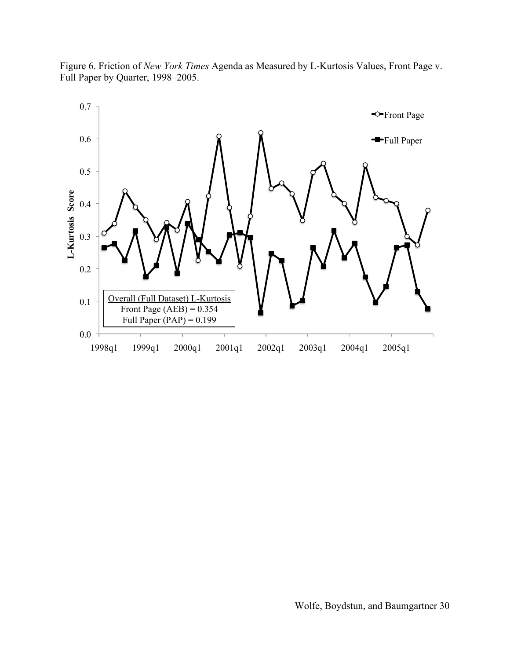

Figure 6. Friction of *New York Times* Agenda as Measured by L-Kurtosis Values, Front Page v. Full Paper by Quarter, 1998–2005.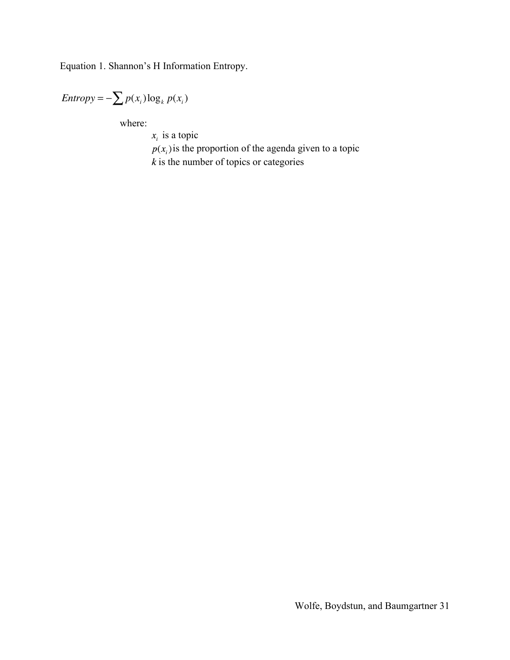Equation 1. Shannon's H Information Entropy.

$$
Entropy = -\sum p(x_i) \log_k p(x_i)
$$

where:

 $x_i$  is a topic

 $p(x_i)$  is the proportion of the agenda given to a topic  $k$  is the number of topics or categories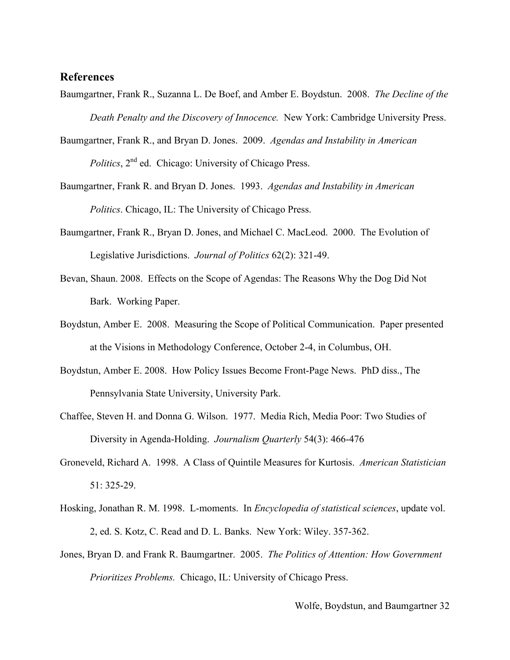# **References**

- Baumgartner, Frank R., Suzanna L. De Boef, and Amber E. Boydstun. 2008. *The Decline of the Death Penalty and the Discovery of Innocence.* New York: Cambridge University Press.
- Baumgartner, Frank R., and Bryan D. Jones. 2009. *Agendas and Instability in American Politics*,  $2^{nd}$  ed. Chicago: University of Chicago Press.
- Baumgartner, Frank R. and Bryan D. Jones. 1993. *Agendas and Instability in American Politics*. Chicago, IL: The University of Chicago Press.
- Baumgartner, Frank R., Bryan D. Jones, and Michael C. MacLeod. 2000. The Evolution of Legislative Jurisdictions. *Journal of Politics* 62(2): 321-49.
- Bevan, Shaun. 2008. Effects on the Scope of Agendas: The Reasons Why the Dog Did Not Bark. Working Paper.
- Boydstun, Amber E. 2008. Measuring the Scope of Political Communication. Paper presented at the Visions in Methodology Conference, October 2-4, in Columbus, OH.
- Boydstun, Amber E. 2008. How Policy Issues Become Front-Page News. PhD diss., The Pennsylvania State University, University Park.
- Chaffee, Steven H. and Donna G. Wilson. 1977. Media Rich, Media Poor: Two Studies of Diversity in Agenda-Holding. *Journalism Quarterly* 54(3): 466-476
- Groneveld, Richard A. 1998. A Class of Quintile Measures for Kurtosis. *American Statistician*  51: 325-29.
- Hosking, Jonathan R. M. 1998. L-moments. In *Encyclopedia of statistical sciences*, update vol. 2, ed. S. Kotz, C. Read and D. L. Banks. New York: Wiley. 357-362.
- Jones, Bryan D. and Frank R. Baumgartner. 2005. *The Politics of Attention: How Government Prioritizes Problems.* Chicago, IL: University of Chicago Press.